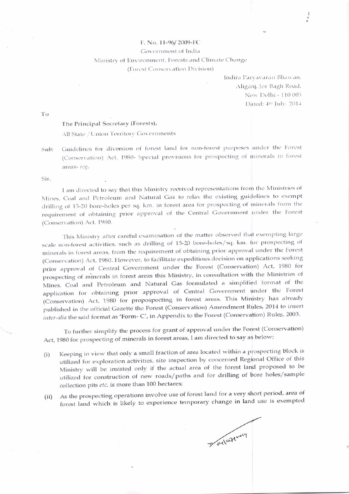## F. No. 11-96/2009-FC

Government of India

Ministry of Environment, Forests and Climate Change

(Forest Conservation Division)

Indira Parvavaran Bhawan, Aliganj, Jor Bagh Road, New Delhi - 110 003 Dated: 4th July, 2014

To

## The Principal Secretary (Forests),

All State / Union Territory Governments

Guidelines for diversion of forest land for non-forest purposes under the Forest  $Sub:$ (Conservation) Act, 1980- Special provisions for prospecting of minerals in forest areas-reg.

Sir.

I am directed to say that this Ministry received representations from the Ministries of Mines, Coal and Petroleum and Natural Gas to relax the existing guidelines to exempt drilling of 15-20 bore-holes per sq. km. in forest area for prospecting of minerals from the requirement of obtaining prior approval of the Central Government under the Forest (Conservation) Act, 1980.

This Ministry after careful examination of the matter observed that exempting large scale non-forest activities, such as drilling of 15-20 bore-holes/sq. km. for prospecting of minerals in forest areas, from the requirement of obtaining prior approval under the Forest (Conservation) Act, 1980. However, to facilitate expeditious decision on applications seeking prior approval of Central Government under the Forest (Conservation) Act, 1980 for prospecting of minerals in forest areas this Ministry, in consultation with the Ministries of Mines, Coal and Petroleum and Natural Gas formulated a simplified format of the application for obtaining prior approval of Central Government under the Forest (Conservation) Act, 1980 for propospecting in forest areas. This Ministry has already published in the official Gazette the Forest (Conservation) Amendment Rules, 2014 to insert inter-alia the said format as 'Form- C', in Appendix to the Forest (Conservation) Rules, 2003.

To further simplify the process for grant of approval under the Forest (Conservation) Act, 1980 for prospecting of minerals in forest areas, I am directed to say as below:

- Keeping in view that only a small fraction of area located within a prospecting block is  $(i)$ utilized for exploration activities, site inspection by concerned Regional Office of this Ministry will be insisted only if the actual area of the forest land proposed to be utilized for construction of new roads/paths and for drilling of bore holes/sample collection pits etc. is more than 100 hectares;
- As the prospecting operations involve use of forest land for a very short period, area of  $(ii)$ forest land which is likely to experience temporary change in land use is exempted

Boyloging